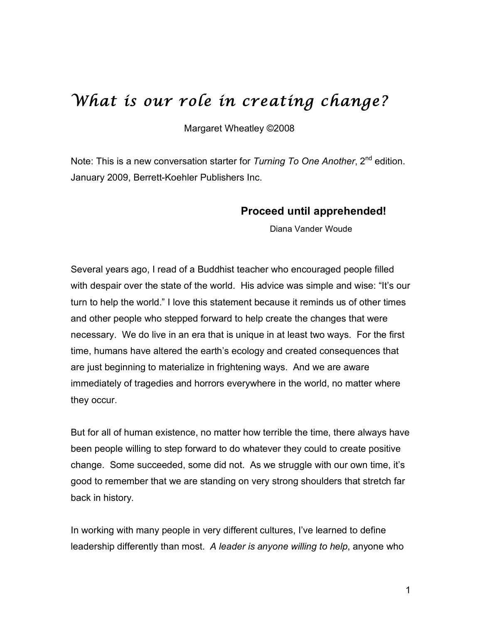## *What is our role in creating change?*

Margaret Wheatley ©2008

Note: This is a new conversation starter for *Turning To One Another*, 2<sup>nd</sup> edition. January 2009, Berrett-Koehler Publishers Inc.

## **Proceed until apprehended!**

Diana Vander Woude

Several years ago, I read of a Buddhist teacher who encouraged people filled with despair over the state of the world. His advice was simple and wise: "It's our turn to help the world." I love this statement because it reminds us of other times and other people who stepped forward to help create the changes that were necessary. We do live in an era that is unique in at least two ways. For the first time, humans have altered the earth's ecology and created consequences that are just beginning to materialize in frightening ways. And we are aware immediately of tragedies and horrors everywhere in the world, no matter where they occur.

But for all of human existence, no matter how terrible the time, there always have been people willing to step forward to do whatever they could to create positive change. Some succeeded, some did not. As we struggle with our own time, it's good to remember that we are standing on very strong shoulders that stretch far back in history.

In working with many people in very different cultures, I've learned to define leadership differently than most. *A leader is anyone willing to help*, anyone who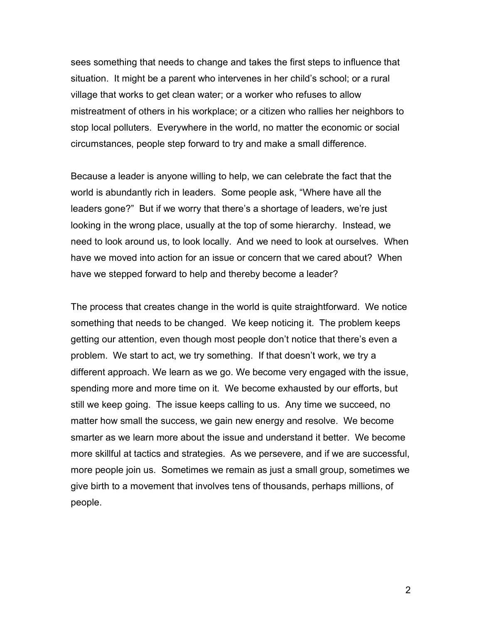sees something that needs to change and takes the first steps to influence that situation. It might be a parent who intervenes in her child's school; or a rural village that works to get clean water; or a worker who refuses to allow mistreatment of others in his workplace; or a citizen who rallies her neighbors to stop local polluters. Everywhere in the world, no matter the economic or social circumstances, people step forward to try and make a small difference.

Because a leader is anyone willing to help, we can celebrate the fact that the world is abundantly rich in leaders. Some people ask, "Where have all the leaders gone?" But if we worry that there's a shortage of leaders, we're just looking in the wrong place, usually at the top of some hierarchy. Instead, we need to look around us, to look locally. And we need to look at ourselves. When have we moved into action for an issue or concern that we cared about? When have we stepped forward to help and thereby become a leader?

The process that creates change in the world is quite straightforward. We notice something that needs to be changed. We keep noticing it. The problem keeps getting our attention, even though most people don't notice that there's even a problem. We start to act, we try something. If that doesn't work, we try a different approach. We learn as we go. We become very engaged with the issue, spending more and more time on it. We become exhausted by our efforts, but still we keep going. The issue keeps calling to us. Any time we succeed, no matter how small the success, we gain new energy and resolve. We become smarter as we learn more about the issue and understand it better. We become more skillful at tactics and strategies. As we persevere, and if we are successful, more people join us. Sometimes we remain as just a small group, sometimes we give birth to a movement that involves tens of thousands, perhaps millions, of people.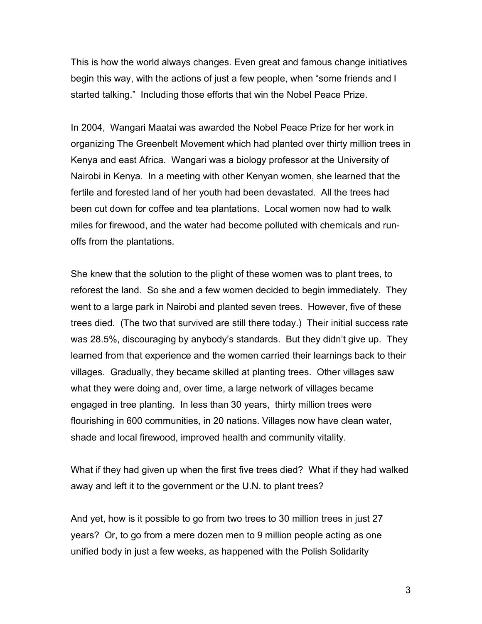This is how the world always changes. Even great and famous change initiatives begin this way, with the actions of just a few people, when "some friends and I started talking." Including those efforts that win the Nobel Peace Prize.

In 2004, Wangari Maatai was awarded the Nobel Peace Prize for her work in organizing The Greenbelt Movement which had planted over thirty million trees in Kenya and east Africa. Wangari was a biology professor at the University of Nairobi in Kenya. In a meeting with other Kenyan women, she learned that the fertile and forested land of her youth had been devastated. All the trees had been cut down for coffee and tea plantations. Local women now had to walk miles for firewood, and the water had become polluted with chemicals and runoffs from the plantations.

She knew that the solution to the plight of these women was to plant trees, to reforest the land. So she and a few women decided to begin immediately. They went to a large park in Nairobi and planted seven trees. However, five of these trees died. (The two that survived are still there today.) Their initial success rate was 28.5%, discouraging by anybody's standards. But they didn't give up. They learned from that experience and the women carried their learnings back to their villages. Gradually, they became skilled at planting trees. Other villages saw what they were doing and, over time, a large network of villages became engaged in tree planting. In less than 30 years, thirty million trees were flourishing in 600 communities, in 20 nations. Villages now have clean water, shade and local firewood, improved health and community vitality.

What if they had given up when the first five trees died? What if they had walked away and left it to the government or the U.N. to plant trees?

And yet, how is it possible to go from two trees to 30 million trees in just 27 years? Or, to go from a mere dozen men to 9 million people acting as one unified body in just a few weeks, as happened with the Polish Solidarity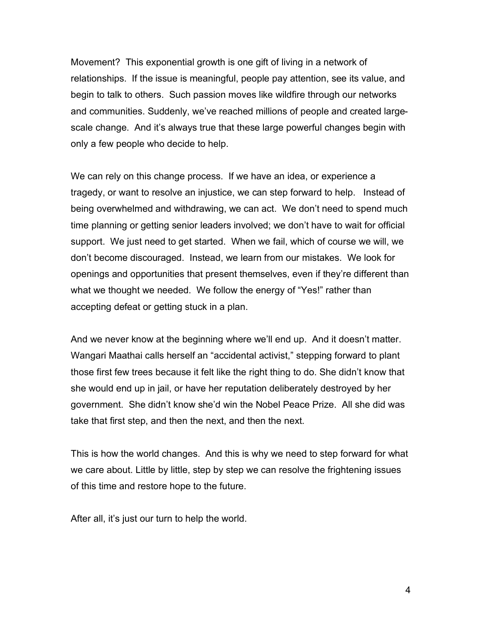Movement? This exponential growth is one gift of living in a network of relationships. If the issue is meaningful, people pay attention, see its value, and begin to talk to others. Such passion moves like wildfire through our networks and communities. Suddenly, we've reached millions of people and created largescale change. And it's always true that these large powerful changes begin with only a few people who decide to help.

We can rely on this change process. If we have an idea, or experience a tragedy, or want to resolve an injustice, we can step forward to help. Instead of being overwhelmed and withdrawing, we can act. We don't need to spend much time planning or getting senior leaders involved; we don't have to wait for official support. We just need to get started. When we fail, which of course we will, we don't become discouraged. Instead, we learn from our mistakes. We look for openings and opportunities that present themselves, even if they're different than what we thought we needed. We follow the energy of "Yes!" rather than accepting defeat or getting stuck in a plan.

And we never know at the beginning where we'll end up. And it doesn't matter. Wangari Maathai calls herself an "accidental activist," stepping forward to plant those first few trees because it felt like the right thing to do. She didn't know that she would end up in jail, or have her reputation deliberately destroyed by her government. She didn't know she'd win the Nobel Peace Prize. All she did was take that first step, and then the next, and then the next.

This is how the world changes. And this is why we need to step forward for what we care about. Little by little, step by step we can resolve the frightening issues of this time and restore hope to the future.

After all, it's just our turn to help the world.